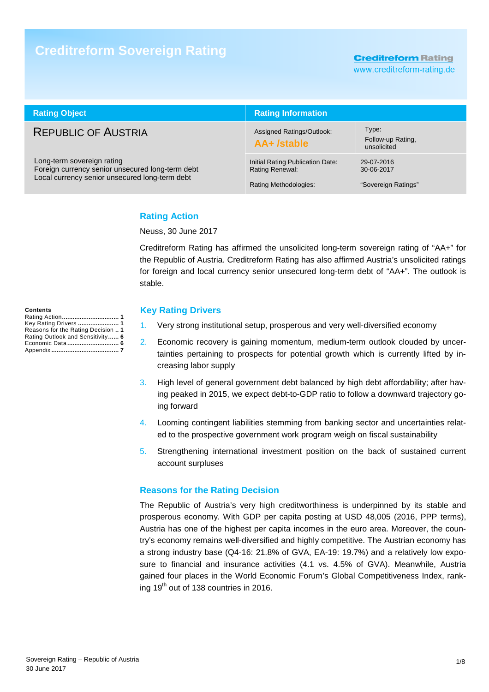# **Creditreform Sovereign Rating**

**Creditreform Rating** 

www.creditreform-rating.de

| <b>Rating Object</b>                                                                                                             | <b>Rating Information</b>                                                           |                                                 |  |  |
|----------------------------------------------------------------------------------------------------------------------------------|-------------------------------------------------------------------------------------|-------------------------------------------------|--|--|
| <b>REPUBLIC OF AUSTRIA</b>                                                                                                       | Assigned Ratings/Outlook:<br>AA+ /stable                                            | Type:<br>Follow-up Rating,<br>unsolicited       |  |  |
| Long-term sovereign rating<br>Foreign currency senior unsecured long-term debt<br>Local currency senior unsecured long-term debt | Initial Rating Publication Date:<br><b>Rating Renewal:</b><br>Rating Methodologies: | 29-07-2016<br>30-06-2017<br>"Sovereign Ratings" |  |  |

## **Rating Action**

Neuss, 30 June 2017

Creditreform Rating has affirmed the unsolicited long-term sovereign rating of "AA+" for the Republic of Austria. Creditreform Rating has also affirmed Austria's unsolicited ratings for foreign and local currency senior unsecured long-term debt of "AA+". The outlook is stable.

#### **Contents**

| Key Rating Drivers  1              |  |
|------------------------------------|--|
| Reasons for the Rating Decision  1 |  |
| Rating Outlook and Sensitivity 6   |  |
|                                    |  |
|                                    |  |
|                                    |  |

#### **Key Rating Drivers**

- 1. Very strong institutional setup, prosperous and very well-diversified economy
- 2. Economic recovery is gaining momentum, medium-term outlook clouded by uncertainties pertaining to prospects for potential growth which is currently lifted by increasing labor supply
- 3. High level of general government debt balanced by high debt affordability; after having peaked in 2015, we expect debt-to-GDP ratio to follow a downward trajectory going forward
- 4. Looming contingent liabilities stemming from banking sector and uncertainties related to the prospective government work program weigh on fiscal sustainability
- 5. Strengthening international investment position on the back of sustained current account surpluses

## **Reasons for the Rating Decision**

The Republic of Austria's very high creditworthiness is underpinned by its stable and prosperous economy. With GDP per capita posting at USD 48,005 (2016, PPP terms), Austria has one of the highest per capita incomes in the euro area. Moreover, the country's economy remains well-diversified and highly competitive. The Austrian economy has a strong industry base (Q4-16: 21.8% of GVA, EA-19: 19.7%) and a relatively low exposure to financial and insurance activities (4.1 vs. 4.5% of GVA). Meanwhile, Austria gained four places in the World Economic Forum's Global Competitiveness Index, ranking  $19<sup>th</sup>$  out of 138 countries in 2016.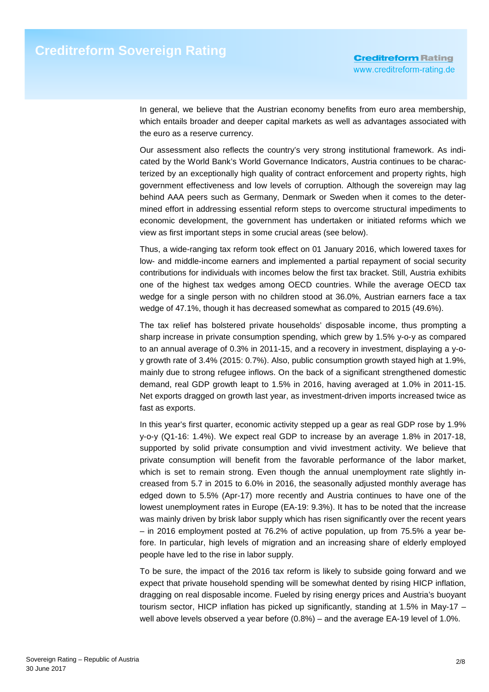In general, we believe that the Austrian economy benefits from euro area membership, which entails broader and deeper capital markets as well as advantages associated with the euro as a reserve currency.

Our assessment also reflects the country's very strong institutional framework. As indicated by the World Bank's World Governance Indicators, Austria continues to be characterized by an exceptionally high quality of contract enforcement and property rights, high government effectiveness and low levels of corruption. Although the sovereign may lag behind AAA peers such as Germany, Denmark or Sweden when it comes to the determined effort in addressing essential reform steps to overcome structural impediments to economic development, the government has undertaken or initiated reforms which we view as first important steps in some crucial areas (see below).

Thus, a wide-ranging tax reform took effect on 01 January 2016, which lowered taxes for low- and middle-income earners and implemented a partial repayment of social security contributions for individuals with incomes below the first tax bracket. Still, Austria exhibits one of the highest tax wedges among OECD countries. While the average OECD tax wedge for a single person with no children stood at 36.0%, Austrian earners face a tax wedge of 47.1%, though it has decreased somewhat as compared to 2015 (49.6%).

The tax relief has bolstered private households' disposable income, thus prompting a sharp increase in private consumption spending, which grew by 1.5% y-o-y as compared to an annual average of 0.3% in 2011-15, and a recovery in investment, displaying a y-oy growth rate of 3.4% (2015: 0.7%). Also, public consumption growth stayed high at 1.9%, mainly due to strong refugee inflows. On the back of a significant strengthened domestic demand, real GDP growth leapt to 1.5% in 2016, having averaged at 1.0% in 2011-15. Net exports dragged on growth last year, as investment-driven imports increased twice as fast as exports.

In this year's first quarter, economic activity stepped up a gear as real GDP rose by 1.9% y-o-y (Q1-16: 1.4%). We expect real GDP to increase by an average 1.8% in 2017-18, supported by solid private consumption and vivid investment activity. We believe that private consumption will benefit from the favorable performance of the labor market, which is set to remain strong. Even though the annual unemployment rate slightly increased from 5.7 in 2015 to 6.0% in 2016, the seasonally adjusted monthly average has edged down to 5.5% (Apr-17) more recently and Austria continues to have one of the lowest unemployment rates in Europe (EA-19: 9.3%). It has to be noted that the increase was mainly driven by brisk labor supply which has risen significantly over the recent years – in 2016 employment posted at 76.2% of active population, up from 75.5% a year before. In particular, high levels of migration and an increasing share of elderly employed people have led to the rise in labor supply.

To be sure, the impact of the 2016 tax reform is likely to subside going forward and we expect that private household spending will be somewhat dented by rising HICP inflation, dragging on real disposable income. Fueled by rising energy prices and Austria's buoyant tourism sector, HICP inflation has picked up significantly, standing at 1.5% in May-17 – well above levels observed a year before (0.8%) – and the average EA-19 level of 1.0%.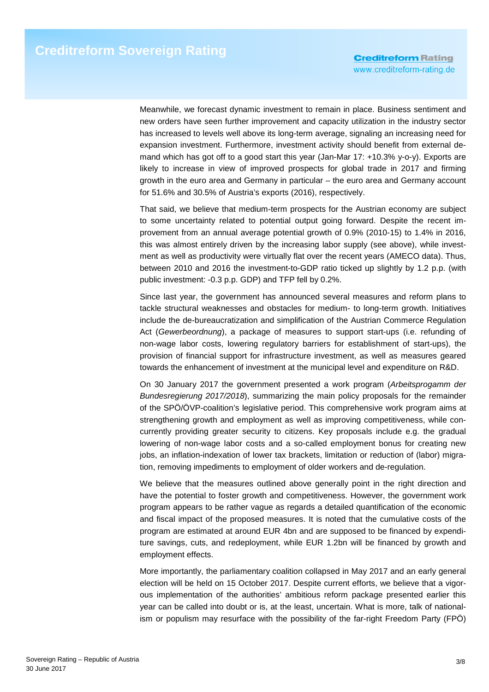Meanwhile, we forecast dynamic investment to remain in place. Business sentiment and new orders have seen further improvement and capacity utilization in the industry sector has increased to levels well above its long-term average, signaling an increasing need for expansion investment. Furthermore, investment activity should benefit from external demand which has got off to a good start this year (Jan-Mar 17: +10.3% y-o-y). Exports are likely to increase in view of improved prospects for global trade in 2017 and firming growth in the euro area and Germany in particular – the euro area and Germany account for 51.6% and 30.5% of Austria's exports (2016), respectively.

That said, we believe that medium-term prospects for the Austrian economy are subject to some uncertainty related to potential output going forward. Despite the recent improvement from an annual average potential growth of 0.9% (2010-15) to 1.4% in 2016, this was almost entirely driven by the increasing labor supply (see above), while investment as well as productivity were virtually flat over the recent years (AMECO data). Thus, between 2010 and 2016 the investment-to-GDP ratio ticked up slightly by 1.2 p.p. (with public investment: -0.3 p.p. GDP) and TFP fell by 0.2%.

Since last year, the government has announced several measures and reform plans to tackle structural weaknesses and obstacles for medium- to long-term growth. Initiatives include the de-bureaucratization and simplification of the Austrian Commerce Regulation Act (Gewerbeordnung), a package of measures to support start-ups (i.e. refunding of non-wage labor costs, lowering regulatory barriers for establishment of start-ups), the provision of financial support for infrastructure investment, as well as measures geared towards the enhancement of investment at the municipal level and expenditure on R&D.

On 30 January 2017 the government presented a work program (Arbeitsprogamm der Bundesregierung 2017/2018), summarizing the main policy proposals for the remainder of the SPÖ/ÖVP-coalition's legislative period. This comprehensive work program aims at strengthening growth and employment as well as improving competitiveness, while concurrently providing greater security to citizens. Key proposals include e.g. the gradual lowering of non-wage labor costs and a so-called employment bonus for creating new jobs, an inflation-indexation of lower tax brackets, limitation or reduction of (labor) migration, removing impediments to employment of older workers and de-regulation.

We believe that the measures outlined above generally point in the right direction and have the potential to foster growth and competitiveness. However, the government work program appears to be rather vague as regards a detailed quantification of the economic and fiscal impact of the proposed measures. It is noted that the cumulative costs of the program are estimated at around EUR 4bn and are supposed to be financed by expenditure savings, cuts, and redeployment, while EUR 1.2bn will be financed by growth and employment effects.

More importantly, the parliamentary coalition collapsed in May 2017 and an early general election will be held on 15 October 2017. Despite current efforts, we believe that a vigorous implementation of the authorities' ambitious reform package presented earlier this year can be called into doubt or is, at the least, uncertain. What is more, talk of nationalism or populism may resurface with the possibility of the far-right Freedom Party (FPÖ)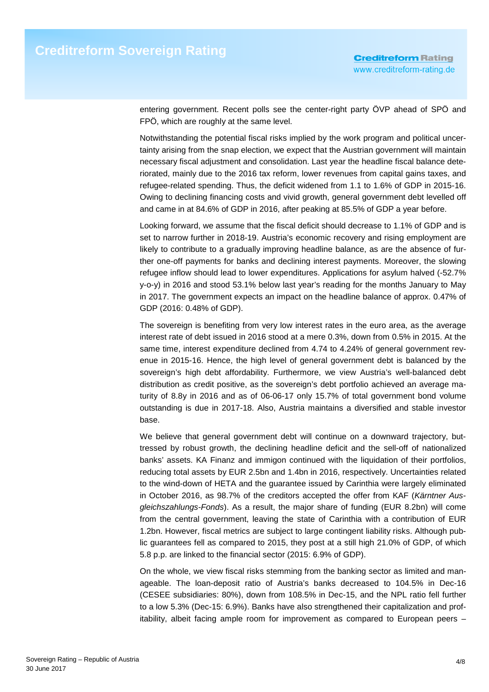entering government. Recent polls see the center-right party ÖVP ahead of SPÖ and FPÖ, which are roughly at the same level.

Notwithstanding the potential fiscal risks implied by the work program and political uncertainty arising from the snap election, we expect that the Austrian government will maintain necessary fiscal adjustment and consolidation. Last year the headline fiscal balance deteriorated, mainly due to the 2016 tax reform, lower revenues from capital gains taxes, and refugee-related spending. Thus, the deficit widened from 1.1 to 1.6% of GDP in 2015-16. Owing to declining financing costs and vivid growth, general government debt levelled off and came in at 84.6% of GDP in 2016, after peaking at 85.5% of GDP a year before.

Looking forward, we assume that the fiscal deficit should decrease to 1.1% of GDP and is set to narrow further in 2018-19. Austria's economic recovery and rising employment are likely to contribute to a gradually improving headline balance, as are the absence of further one-off payments for banks and declining interest payments. Moreover, the slowing refugee inflow should lead to lower expenditures. Applications for asylum halved (-52.7% y-o-y) in 2016 and stood 53.1% below last year's reading for the months January to May in 2017. The government expects an impact on the headline balance of approx. 0.47% of GDP (2016: 0.48% of GDP).

The sovereign is benefiting from very low interest rates in the euro area, as the average interest rate of debt issued in 2016 stood at a mere 0.3%, down from 0.5% in 2015. At the same time, interest expenditure declined from 4.74 to 4.24% of general government revenue in 2015-16. Hence, the high level of general government debt is balanced by the sovereign's high debt affordability. Furthermore, we view Austria's well-balanced debt distribution as credit positive, as the sovereign's debt portfolio achieved an average maturity of 8.8y in 2016 and as of 06-06-17 only 15.7% of total government bond volume outstanding is due in 2017-18. Also, Austria maintains a diversified and stable investor base.

We believe that general government debt will continue on a downward trajectory, buttressed by robust growth, the declining headline deficit and the sell-off of nationalized banks' assets. KA Finanz and immigon continued with the liquidation of their portfolios, reducing total assets by EUR 2.5bn and 1.4bn in 2016, respectively. Uncertainties related to the wind-down of HETA and the guarantee issued by Carinthia were largely eliminated in October 2016, as 98.7% of the creditors accepted the offer from KAF (Kärntner Ausgleichszahlungs-Fonds). As a result, the major share of funding (EUR 8.2bn) will come from the central government, leaving the state of Carinthia with a contribution of EUR 1.2bn. However, fiscal metrics are subject to large contingent liability risks. Although public guarantees fell as compared to 2015, they post at a still high 21.0% of GDP, of which 5.8 p.p. are linked to the financial sector (2015: 6.9% of GDP).

On the whole, we view fiscal risks stemming from the banking sector as limited and manageable. The loan-deposit ratio of Austria's banks decreased to 104.5% in Dec-16 (CESEE subsidiaries: 80%), down from 108.5% in Dec-15, and the NPL ratio fell further to a low 5.3% (Dec-15: 6.9%). Banks have also strengthened their capitalization and profitability, albeit facing ample room for improvement as compared to European peers –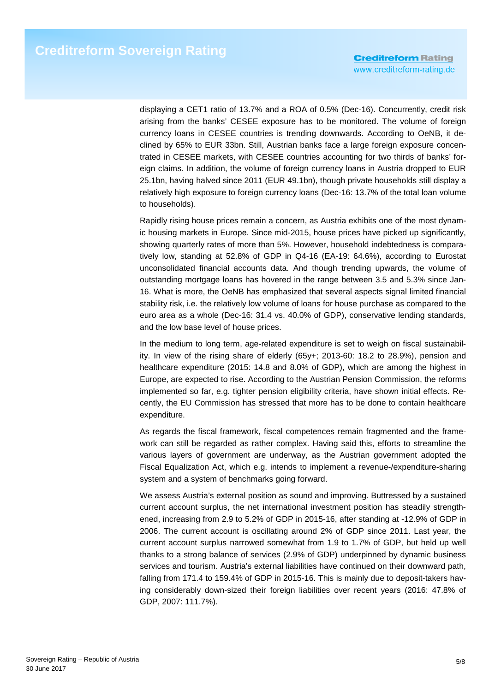displaying a CET1 ratio of 13.7% and a ROA of 0.5% (Dec-16). Concurrently, credit risk arising from the banks' CESEE exposure has to be monitored. The volume of foreign currency loans in CESEE countries is trending downwards. According to OeNB, it declined by 65% to EUR 33bn. Still, Austrian banks face a large foreign exposure concentrated in CESEE markets, with CESEE countries accounting for two thirds of banks' foreign claims. In addition, the volume of foreign currency loans in Austria dropped to EUR 25.1bn, having halved since 2011 (EUR 49.1bn), though private households still display a relatively high exposure to foreign currency loans (Dec-16: 13.7% of the total loan volume to households).

Rapidly rising house prices remain a concern, as Austria exhibits one of the most dynamic housing markets in Europe. Since mid-2015, house prices have picked up significantly, showing quarterly rates of more than 5%. However, household indebtedness is comparatively low, standing at 52.8% of GDP in Q4-16 (EA-19: 64.6%), according to Eurostat unconsolidated financial accounts data. And though trending upwards, the volume of outstanding mortgage loans has hovered in the range between 3.5 and 5.3% since Jan-16. What is more, the OeNB has emphasized that several aspects signal limited financial stability risk, i.e. the relatively low volume of loans for house purchase as compared to the euro area as a whole (Dec-16: 31.4 vs. 40.0% of GDP), conservative lending standards, and the low base level of house prices.

In the medium to long term, age-related expenditure is set to weigh on fiscal sustainability. In view of the rising share of elderly (65y+; 2013-60: 18.2 to 28.9%), pension and healthcare expenditure (2015: 14.8 and 8.0% of GDP), which are among the highest in Europe, are expected to rise. According to the Austrian Pension Commission, the reforms implemented so far, e.g. tighter pension eligibility criteria, have shown initial effects. Recently, the EU Commission has stressed that more has to be done to contain healthcare expenditure.

As regards the fiscal framework, fiscal competences remain fragmented and the framework can still be regarded as rather complex. Having said this, efforts to streamline the various layers of government are underway, as the Austrian government adopted the Fiscal Equalization Act, which e.g. intends to implement a revenue-/expenditure-sharing system and a system of benchmarks going forward.

We assess Austria's external position as sound and improving. Buttressed by a sustained current account surplus, the net international investment position has steadily strengthened, increasing from 2.9 to 5.2% of GDP in 2015-16, after standing at -12.9% of GDP in 2006. The current account is oscillating around 2% of GDP since 2011. Last year, the current account surplus narrowed somewhat from 1.9 to 1.7% of GDP, but held up well thanks to a strong balance of services (2.9% of GDP) underpinned by dynamic business services and tourism. Austria's external liabilities have continued on their downward path, falling from 171.4 to 159.4% of GDP in 2015-16. This is mainly due to deposit-takers having considerably down-sized their foreign liabilities over recent years (2016: 47.8% of GDP, 2007: 111.7%).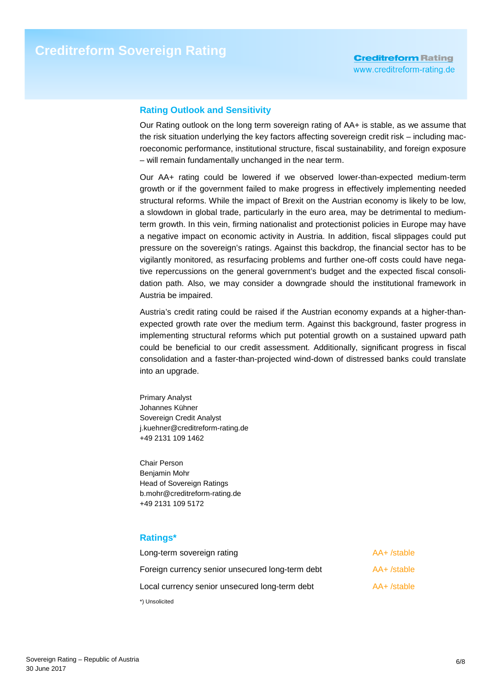## **Rating Outlook and Sensitivity**

Our Rating outlook on the long term sovereign rating of AA+ is stable, as we assume that the risk situation underlying the key factors affecting sovereign credit risk – including macroeconomic performance, institutional structure, fiscal sustainability, and foreign exposure – will remain fundamentally unchanged in the near term.

Our AA+ rating could be lowered if we observed lower-than-expected medium-term growth or if the government failed to make progress in effectively implementing needed structural reforms. While the impact of Brexit on the Austrian economy is likely to be low, a slowdown in global trade, particularly in the euro area, may be detrimental to mediumterm growth. In this vein, firming nationalist and protectionist policies in Europe may have a negative impact on economic activity in Austria. In addition, fiscal slippages could put pressure on the sovereign's ratings. Against this backdrop, the financial sector has to be vigilantly monitored, as resurfacing problems and further one-off costs could have negative repercussions on the general government's budget and the expected fiscal consolidation path. Also, we may consider a downgrade should the institutional framework in Austria be impaired.

Austria's credit rating could be raised if the Austrian economy expands at a higher-thanexpected growth rate over the medium term. Against this background, faster progress in implementing structural reforms which put potential growth on a sustained upward path could be beneficial to our credit assessment. Additionally, significant progress in fiscal consolidation and a faster-than-projected wind-down of distressed banks could translate into an upgrade.

Primary Analyst Johannes Kühner Sovereign Credit Analyst j.kuehner@creditreform-rating.de +49 2131 109 1462

Chair Person Benjamin Mohr Head of Sovereign Ratings b.mohr@creditreform-rating.de +49 2131 109 5172

## **Ratings\***

| Long-term sovereign rating                       | AA+/stable    |
|--------------------------------------------------|---------------|
| Foreign currency senior unsecured long-term debt | $AA+$ /stable |
| Local currency senior unsecured long-term debt   | $AA+$ /stable |
| *) Unsolicited                                   |               |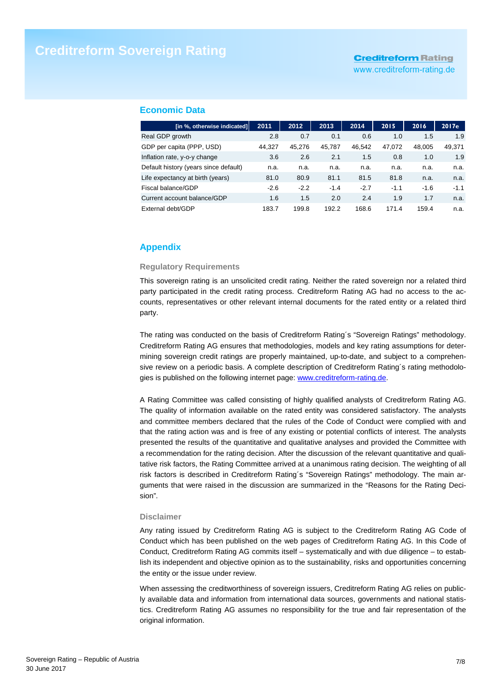# **Creditreform Rating**

www.creditreform-rating.de

#### **Economic Data**

| [in %, otherwise indicated]           | 2011   | 2012   | 2013   | 2014   | 2015   | 2016   | 2017e  |
|---------------------------------------|--------|--------|--------|--------|--------|--------|--------|
| Real GDP growth                       | 2.8    | 0.7    | 0.1    | 0.6    | 1.0    | 1.5    | 1.9    |
| GDP per capita (PPP, USD)             | 44.327 | 45.276 | 45.787 | 46.542 | 47.072 | 48.005 | 49,371 |
| Inflation rate, y-o-y change          | 3.6    | 2.6    | 2.1    | 1.5    | 0.8    | 1.0    | 1.9    |
| Default history (years since default) | n.a.   | n.a.   | n.a.   | n.a.   | n.a.   | n.a.   | n.a.   |
| Life expectancy at birth (years)      | 81.0   | 80.9   | 81.1   | 81.5   | 81.8   | n.a.   | n.a.   |
| Fiscal balance/GDP                    | $-2.6$ | $-2.2$ | $-1.4$ | $-2.7$ | $-1.1$ | $-1.6$ | $-1.1$ |
| Current account balance/GDP           | 1.6    | 1.5    | 2.0    | 2.4    | 1.9    | 1.7    | n.a.   |
| External debt/GDP                     | 183.7  | 199.8  | 192.2  | 168.6  | 171.4  | 159.4  | n.a.   |

## **Appendix**

#### **Regulatory Requirements**

This sovereign rating is an unsolicited credit rating. Neither the rated sovereign nor a related third party participated in the credit rating process. Creditreform Rating AG had no access to the accounts, representatives or other relevant internal documents for the rated entity or a related third party.

The rating was conducted on the basis of Creditreform Rating´s "Sovereign Ratings" methodology. Creditreform Rating AG ensures that methodologies, models and key rating assumptions for determining sovereign credit ratings are properly maintained, up-to-date, and subject to a comprehensive review on a periodic basis. A complete description of Creditreform Rating´s rating methodologies is published on the following internet page: www.creditreform-rating.de.

A Rating Committee was called consisting of highly qualified analysts of Creditreform Rating AG. The quality of information available on the rated entity was considered satisfactory. The analysts and committee members declared that the rules of the Code of Conduct were complied with and that the rating action was and is free of any existing or potential conflicts of interest. The analysts presented the results of the quantitative and qualitative analyses and provided the Committee with a recommendation for the rating decision. After the discussion of the relevant quantitative and qualitative risk factors, the Rating Committee arrived at a unanimous rating decision. The weighting of all risk factors is described in Creditreform Rating´s "Sovereign Ratings" methodology. The main arguments that were raised in the discussion are summarized in the "Reasons for the Rating Decision".

#### **Disclaimer**

Any rating issued by Creditreform Rating AG is subject to the Creditreform Rating AG Code of Conduct which has been published on the web pages of Creditreform Rating AG. In this Code of Conduct, Creditreform Rating AG commits itself – systematically and with due diligence – to establish its independent and objective opinion as to the sustainability, risks and opportunities concerning the entity or the issue under review.

When assessing the creditworthiness of sovereign issuers, Creditreform Rating AG relies on publicly available data and information from international data sources, governments and national statistics. Creditreform Rating AG assumes no responsibility for the true and fair representation of the original information.